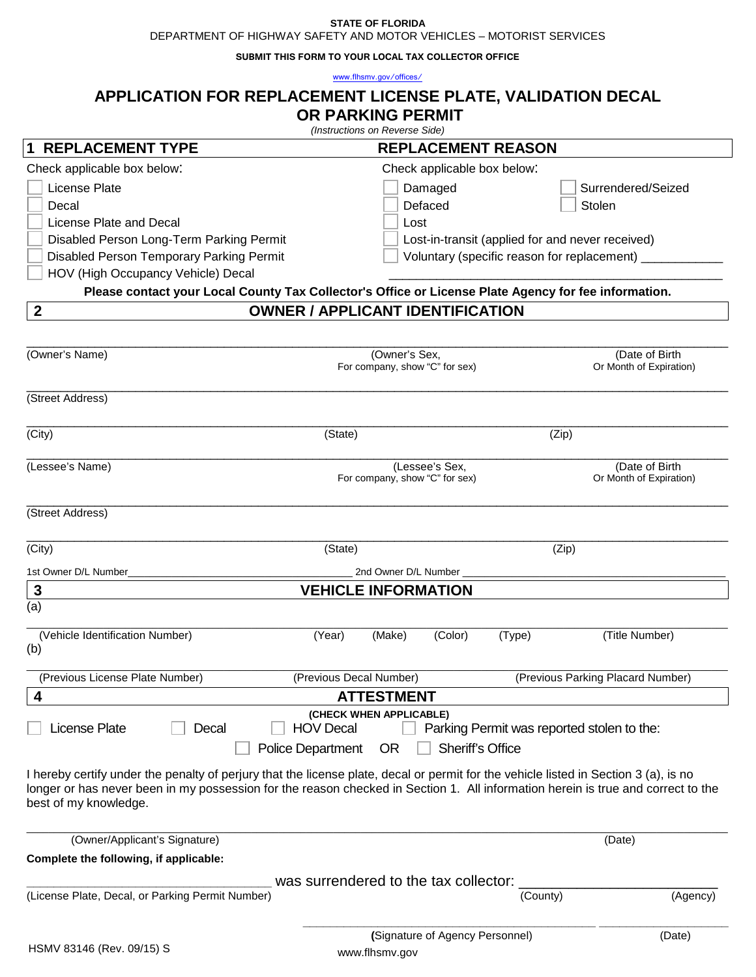#### **STATE OF FLORIDA**

DEPARTMENT OF HIGHWAY SAFETY AND MOTOR VEHICLES – MOTORIST SERVICES

**SUBMIT THIS FORM TO YOUR LOCAL TAX COLLECTOR OFFICE**

[www.flhsmv.gov/offices/](http://www.flhsmv.gov/offices/)

# **APPLICATION FOR REPLACEMENT LICENSE PLATE, VALIDATION DECAL OR PARKING PERMIT** *(Instructions on Reverse Side)* **1 REPLACEMENT TYPE REPLACEMENT REASON** Check applicable box below: Check applicable box below: License Plate **Damaged** Surrendered/Seized **Communist Except Communist Except** Damaged **Communist Except** Surrendered/Seized Decal Defaced Stolen License Plate and Decal **Lost** Lost Disabled Person Long-Term Parking Permit Lost-in-transit (applied for and never received) Disabled Person Temporary Parking Permit Voluntary (specific reason for replacement) HOV (High Occupancy Vehicle) Decal **Please contact your Local County Tax Collector's Office or License Plate Agency for fee information. 2 OWNER / APPLICANT IDENTIFICATION** \_\_\_\_\_\_\_\_\_\_\_\_\_\_\_\_\_\_\_\_\_\_\_\_\_\_\_\_\_\_\_\_\_\_\_\_\_\_\_\_\_\_\_\_\_\_\_\_\_\_\_\_\_\_\_\_\_\_\_\_\_\_\_\_\_\_\_\_\_\_\_\_\_\_\_\_\_\_\_\_\_\_\_\_\_\_\_\_\_\_\_\_\_\_\_\_\_\_\_\_\_\_\_ (Owner's Name) (Owner's Sex, (Date of Birth For company, show "C" for sex) Or Month of Expiration) \_\_\_\_\_\_\_\_\_\_\_\_\_\_\_\_\_\_\_\_\_\_\_\_\_\_\_\_\_\_\_\_\_\_\_\_\_\_\_\_\_\_\_\_\_\_\_\_\_\_\_\_\_\_\_\_\_\_\_\_\_\_\_\_\_\_\_\_\_\_\_\_\_\_\_\_\_\_\_\_\_\_\_\_\_\_\_\_\_\_\_\_\_\_\_\_\_\_\_\_\_\_\_ (Street Address) \_\_\_\_\_\_\_\_\_\_\_\_\_\_\_\_\_\_\_\_\_\_\_\_\_\_\_\_\_\_\_\_\_\_\_\_\_\_\_\_\_\_\_\_\_\_\_\_\_\_\_\_\_\_\_\_\_\_\_\_\_\_\_\_\_\_\_\_\_\_\_\_\_\_\_\_\_\_\_\_\_\_\_\_\_\_\_\_\_\_\_\_\_\_\_\_\_\_\_\_\_\_\_ (City) (State) (Zip) \_\_\_\_\_\_\_\_\_\_\_\_\_\_\_\_\_\_\_\_\_\_\_\_\_\_\_\_\_\_\_\_\_\_\_\_\_\_\_\_\_\_\_\_\_\_\_\_\_\_\_\_\_\_\_\_\_\_\_\_\_\_\_\_\_\_\_\_\_\_\_\_\_\_\_\_\_\_\_\_\_\_\_\_\_\_\_\_\_\_\_\_\_\_\_\_\_\_\_\_\_\_\_ (Lessee's Name) (Lessee's Sex, (Date of Birth (Lessee's Name) (Lessee's Sex, (Date of Birth (Date of Birth (Date of Birth  $\sim$  For company, show "C" for sex) (Date of Birth  $\sim$  Or Month of Expiration) For company, show "C" for sex) \_\_\_\_\_\_\_\_\_\_\_\_\_\_\_\_\_\_\_\_\_\_\_\_\_\_\_\_\_\_\_\_\_\_\_\_\_\_\_\_\_\_\_\_\_\_\_\_\_\_\_\_\_\_\_\_\_\_\_\_\_\_\_\_\_\_\_\_\_\_\_\_\_\_\_\_\_\_\_\_\_\_\_\_\_\_\_\_\_\_\_\_\_\_\_\_\_\_\_\_\_\_\_ (Street Address) \_\_\_\_\_\_\_\_\_\_\_\_\_\_\_\_\_\_\_\_\_\_\_\_\_\_\_\_\_\_\_\_\_\_\_\_\_\_\_\_\_\_\_\_\_\_\_\_\_\_\_\_\_\_\_\_\_\_\_\_\_\_\_\_\_\_\_\_\_\_\_\_\_\_\_\_\_\_\_\_\_\_\_\_\_\_\_\_\_\_\_\_\_\_\_\_\_\_\_\_\_\_\_ (City) (State) (Zip) 1st Owner D/L Number\_\_\_\_\_\_\_\_\_\_\_\_\_\_\_\_\_\_\_\_\_\_\_\_\_\_\_\_\_\_\_\_\_\_\_\_\_\_\_\_\_ 2nd Owner D/L Number \_\_\_\_\_\_\_\_\_\_\_\_\_\_\_\_\_\_\_\_\_\_\_\_\_\_\_\_\_\_\_\_\_\_\_\_\_\_\_\_\_\_\_\_\_\_\_\_ **3 VEHICLE INFORMATION** (a) \_\_\_\_\_\_\_\_\_\_\_\_\_\_\_\_\_\_\_\_\_\_\_\_\_\_\_\_\_\_\_\_\_\_\_\_\_\_\_\_\_\_\_\_\_\_\_\_\_\_\_\_\_\_\_\_\_\_\_\_\_\_\_\_\_\_\_\_\_\_\_\_\_\_\_\_\_\_\_\_\_\_\_\_\_\_\_\_\_\_\_\_\_\_\_\_\_\_\_\_\_\_\_\_\_\_\_\_\_\_\_\_\_\_\_\_\_\_\_\_\_\_\_\_\_\_\_\_ (Vehicle Identification Number) (Year) (Make) (Color) (Type) (Title Number) (b) \_\_\_\_\_\_\_\_\_\_\_\_\_\_\_\_\_\_\_\_\_\_\_\_\_\_\_\_\_\_\_\_\_\_\_\_\_\_\_\_\_\_\_\_\_\_\_\_\_\_\_\_\_\_\_\_\_\_\_\_\_\_\_\_\_\_\_\_\_\_\_\_\_\_\_\_\_\_\_\_\_\_\_\_\_\_\_\_\_\_\_\_\_\_\_\_\_\_\_\_\_\_\_\_\_\_\_\_\_\_\_\_\_\_\_\_\_\_\_\_\_\_\_\_\_\_\_\_ (Previous License Plate Number) (Previous Decal Number) (Previous Parking Placard Number) **4 ATTESTMENT (CHECK WHEN APPLICABLE)** License Plate  $\Box$  Decal  $\Box$  HOV Decal  $\Box$  Parking Permit was reported stolen to the: Police Department OR | Sheriff's Office I hereby certify under the penalty of perjury that the license plate, decal or permit for the vehicle listed in Section 3 (a), is no longer or has never been in my possession for the reason checked in Section 1. All information herein is true and correct to the best of my knowledge. \_\_\_\_\_\_\_\_\_\_\_\_\_\_\_\_\_\_\_\_\_\_\_\_\_\_\_\_\_\_\_\_\_\_\_\_\_\_\_\_\_\_\_\_\_\_\_\_\_\_\_\_\_\_\_\_\_\_\_\_\_\_\_\_\_\_\_\_\_\_\_\_\_\_\_\_\_\_\_\_\_\_\_\_\_\_\_\_\_\_\_\_\_\_\_\_\_\_\_\_\_\_\_\_\_\_\_\_\_\_\_\_\_\_\_\_\_\_\_\_\_\_\_\_\_\_\_\_ (Owner/Applicant's Signature) (Date) **Complete the following, if applicable:** was surrendered to the tax collector: (License Plate, Decal, or Parking Permit Number) (County) (Agency) **\_\_\_\_\_\_\_\_\_\_\_\_\_\_\_\_\_\_\_\_\_\_\_\_\_\_\_\_\_\_\_\_\_\_\_\_\_\_\_\_\_\_\_ \_\_\_\_\_\_\_\_\_\_\_\_\_\_\_\_\_\_\_ (**Signature of Agency Personnel) (Date)